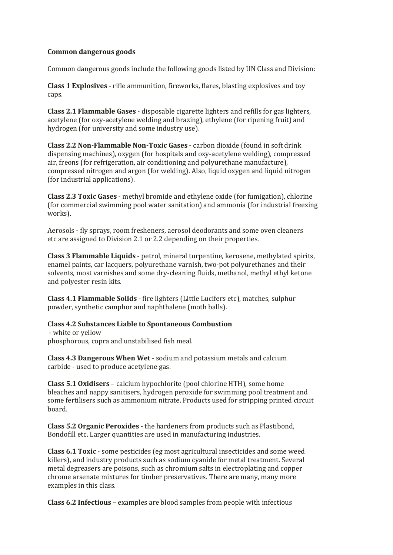## **Common dangerous goods**

Common dangerous goods include the following goods listed by UN Class and Division:

**Class 1 Explosives** - rifle ammunition, fireworks, flares, blasting explosives and toy caps.

**Class 2.1 Flammable Gases** - disposable cigarette lighters and refills for gas lighters, acetylene (for oxy-acetylene welding and brazing), ethylene (for ripening fruit) and hydrogen (for university and some industry use).

**Class 2.2 Non-Flammable Non-Toxic Gases** - carbon dioxide (found in soft drink dispensing machines), oxygen (for hospitals and oxy-acetylene welding), compressed air, freons (for refrigeration, air conditioning and polyurethane manufacture), compressed nitrogen and argon (for welding). Also, liquid oxygen and liquid nitrogen (for industrial applications).

**Class 2.3 Toxic Gases** - methyl bromide and ethylene oxide (for fumigation), chlorine (for commercial swimming pool water sanitation) and ammonia (for industrial freezing works).

Aerosols - fly sprays, room fresheners, aerosol deodorants and some oven cleaners etc are assigned to Division 2.1 or 2.2 depending on their properties.

**Class 3 Flammable Liquids** - petrol, mineral turpentine, kerosene, methylated spirits, enamel paints, car lacquers, polyurethane varnish, two-pot polyurethanes and their solvents, most varnishes and some dry-cleaning fluids, methanol, methyl ethyl ketone and polyester resin kits.

**Class 4.1 Flammable Solids** - fire lighters (Little Lucifers etc), matches, sulphur powder, synthetic camphor and naphthalene (moth balls).

## **Class 4.2 Substances Liable to Spontaneous Combustion**

- white or yellow phosphorous, copra and unstabilised fish meal.

**Class 4.3 Dangerous When Wet** - sodium and potassium metals and calcium carbide - used to produce acetylene gas.

**Class 5.1 Oxidisers** – calcium hypochlorite (pool chlorine HTH), some home bleaches and nappy sanitisers, hydrogen peroxide for swimming pool treatment and some fertilisers such as ammonium nitrate. Products used for stripping printed circuit board.

**Class 5.2 Organic Peroxides** - the hardeners from products such as Plastibond, Bondofill etc. Larger quantities are used in manufacturing industries.

**Class 6.1 Toxic** - some pesticides (eg most agricultural insecticides and some weed killers), and industry products such as sodium cyanide for metal treatment. Several metal degreasers are poisons, such as chromium salts in electroplating and copper chrome arsenate mixtures for timber preservatives. There are many, many more examples in this class.

**Class 6.2 Infectious** – examples are blood samples from people with infectious